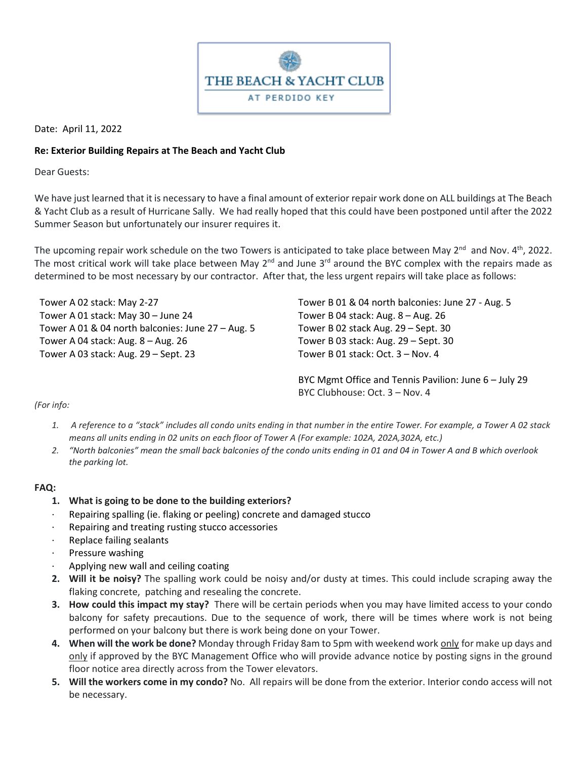

Date: April 11, 2022

## **Re: Exterior Building Repairs at The Beach and Yacht Club**

Dear Guests:

We have just learned that it is necessary to have a final amount of exterior repair work done on ALL buildings at The Beach & Yacht Club as a result of Hurricane Sally. We had really hoped that this could have been postponed until after the 2022 Summer Season but unfortunately our insurer requires it.

The upcoming repair work schedule on the two Towers is anticipated to take place between May 2<sup>nd</sup> and Nov. 4<sup>th</sup>, 2022. The most critical work will take place between May 2<sup>nd</sup> and June 3<sup>rd</sup> around the BYC complex with the repairs made as determined to be most necessary by our contractor. After that, the less urgent repairs will take place as follows:

Tower A 02 stack: May 2-27 Tower A 01 stack: May 30 – June 24 Tower A 01 & 04 north balconies: June 27 – Aug. 5 Tower A 04 stack: Aug. 8 – Aug. 26 Tower A 03 stack: Aug. 29 – Sept. 23

Tower B 01 & 04 north balconies: June 27 - Aug. 5 Tower B 04 stack: Aug. 8 – Aug. 26 Tower B 02 stack Aug. 29 – Sept. 30 Tower B 03 stack: Aug. 29 – Sept. 30 Tower B 01 stack: Oct. 3 – Nov. 4

BYC Mgmt Office and Tennis Pavilion: June 6 – July 29 BYC Clubhouse: Oct. 3 – Nov. 4

*(For info:*

- 1. A reference to a "stack" includes all condo units ending in that number in the entire Tower. For example, a Tower A 02 stack *means all units ending in 02 units on each floor of Tower A (For example: 102A, 202A,302A, etc.)*
- 2. "North balconies" mean the small back balconies of the condo units ending in 01 and 04 in Tower A and B which overlook *the parking lot.*

## **FAQ:**

- **1. What is going to be done to the building exteriors?**
- · Repairing spalling (ie. flaking or peeling) concrete and damaged stucco
- Repairing and treating rusting stucco accessories
- · Replace failing sealants
- Pressure washing
- · Applying new wall and ceiling coating
- **2. Will it be noisy?** The spalling work could be noisy and/or dusty at times. This could include scraping away the flaking concrete, patching and resealing the concrete.
- **3. How could this impact my stay?** There will be certain periods when you may have limited access to your condo balcony for safety precautions. Due to the sequence of work, there will be times where work is not being performed on your balcony but there is work being done on your Tower.
- **4. When will the work be done?** Monday through Friday 8am to 5pm with weekend work only for make up days and only if approved by the BYC Management Office who will provide advance notice by posting signs in the ground floor notice area directly across from the Tower elevators.
- **5. Will the workers come in my condo?** No. All repairs will be done from the exterior. Interior condo access will not be necessary.